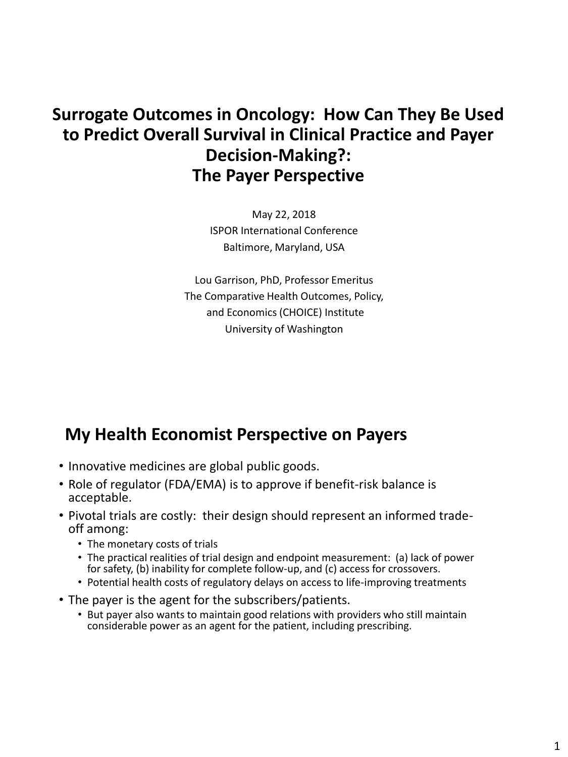## **Surrogate Outcomes in Oncology: How Can They Be Used to Predict Overall Survival in Clinical Practice and Payer Decision-Making?: The Payer Perspective**

May 22, 2018 ISPOR International Conference Baltimore, Maryland, USA

Lou Garrison, PhD, Professor Emeritus The Comparative Health Outcomes, Policy, and Economics (CHOICE) Institute University of Washington

## **My Health Economist Perspective on Payers**

- Innovative medicines are global public goods.
- Role of regulator (FDA/EMA) is to approve if benefit-risk balance is acceptable.
- Pivotal trials are costly: their design should represent an informed tradeoff among:
	- The monetary costs of trials
	- The practical realities of trial design and endpoint measurement: (a) lack of power for safety, (b) inability for complete follow-up, and (c) access for crossovers.
	- Potential health costs of regulatory delays on access to life-improving treatments
- The payer is the agent for the subscribers/patients.
	- But payer also wants to maintain good relations with providers who still maintain considerable power as an agent for the patient, including prescribing.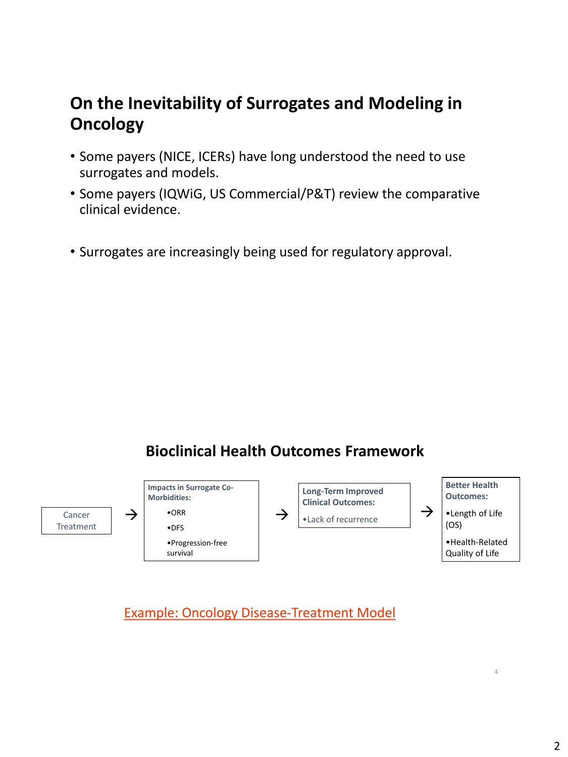# **On the Inevitability of Surrogates and Modeling in Oncology**

- Some payers (NICE, ICERs) have long understood the need to use surrogates and models.
- Some payers (IQWiG, US Commercial/P&T) review the comparative clinical evidence.
- Surrogates are increasingly being used for regulatory approval.

### **Bioclinical Health Outcomes Framework**



Example: Oncology Disease-Treatment Model

4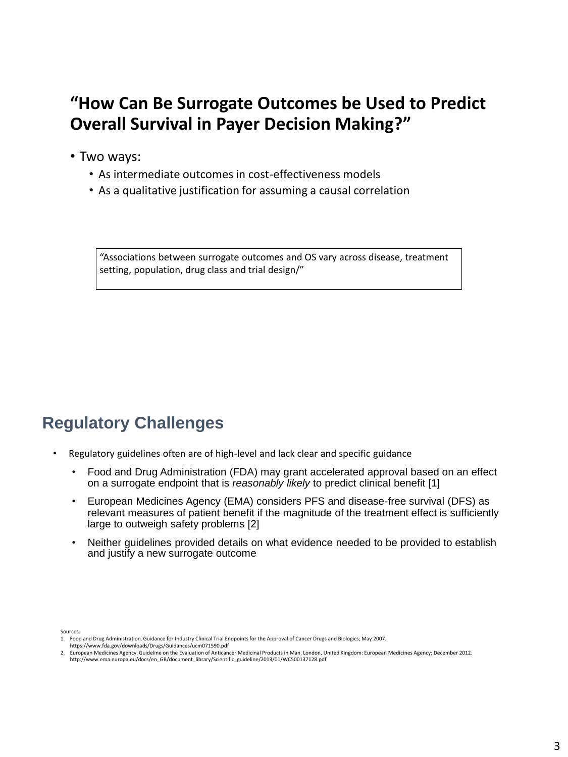## **"How Can Be Surrogate Outcomes be Used to Predict Overall Survival in Payer Decision Making?"**

- Two ways:
	- As intermediate outcomes in cost-effectiveness models
	- As a qualitative justification for assuming a causal correlation

"Associations between surrogate outcomes and OS vary across disease, treatment setting, population, drug class and trial design/"

# **Regulatory Challenges**

- Regulatory guidelines often are of high-level and lack clear and specific guidance
	- Food and Drug Administration (FDA) may grant accelerated approval based on an effect on a surrogate endpoint that is *reasonably likely* to predict clinical benefit [1]
	- European Medicines Agency (EMA) considers PFS and disease-free survival (DFS) as relevant measures of patient benefit if the magnitude of the treatment effect is sufficiently large to outweigh safety problems [2]
	- Neither guidelines provided details on what evidence needed to be provided to establish and justify a new surrogate outcome

Sources:

<sup>1.</sup> Food and Drug Administration. Guidance for Industry Clinical Trial Endpoints for the Approval of Cancer Drugs and Biologics; May 2007.

https://www.fda.gov/downloads/Drugs/Guidances/ucm071590.pdf

<sup>2.</sup> European Medicines Agency. Guideline on the Evaluation of Anticancer Medicinal Products in Man. London, United Kingdom: European Medicines Agency; December 2012. http://www.ema.europa.eu/docs/en\_GB/document\_library/Scientific\_guideline/2013/01/WC500137128.pdf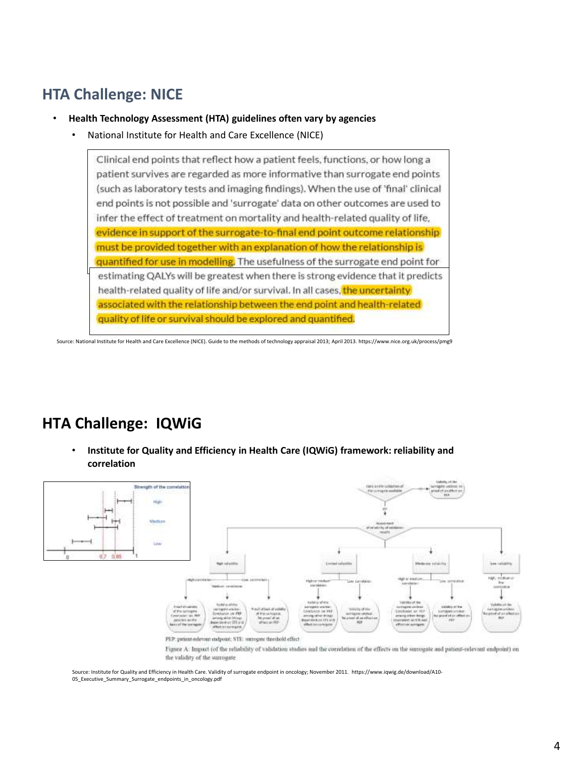### **HTA Challenge: NICE**

- **Health Technology Assessment (HTA) guidelines often vary by agencies**
	- National Institute for Health and Care Excellence (NICE)

Clinical end points that reflect how a patient feels, functions, or how long a patient survives are regarded as more informative than surrogate end points (such as laboratory tests and imaging findings). When the use of 'final' clinical end points is not possible and 'surrogate' data on other outcomes are used to infer the effect of treatment on mortality and health-related quality of life, evidence in support of the surrogate-to-final end point outcome relationship must be provided together with an explanation of how the relationship is quantified for use in modelling. The usefulness of the surrogate end point for estimating QALYs will be greatest when there is strong evidence that it predicts health-related quality of life and/or survival. In all cases, the uncertainty associated with the relationship between the end point and health-related quality of life or survival should be explored and quantified.

Source: National Institute for Health and Care Excellence (NICE). Guide to the methods of technology appraisal 2013; April 2013. https://www.nice.org.uk/process/pmg9

#### **HTA Challenge: IQWiG**

• **Institute for Quality and Efficiency in Health Care (IQWiG) framework: reliability and correlation**



Figure A: Impact (of the reliability of validation studies and the correlation of the effects on the surrogate and patient-relevant endpoint) on the validity of the surrogate

Source: Institute for Quality and Efficiency in Health Care. Validity of surrogate endpoint in oncology; November 2011. https://www.iqwig.de/download/A10- 05 Executive Summary Surrogate endpoints in oncology.pdf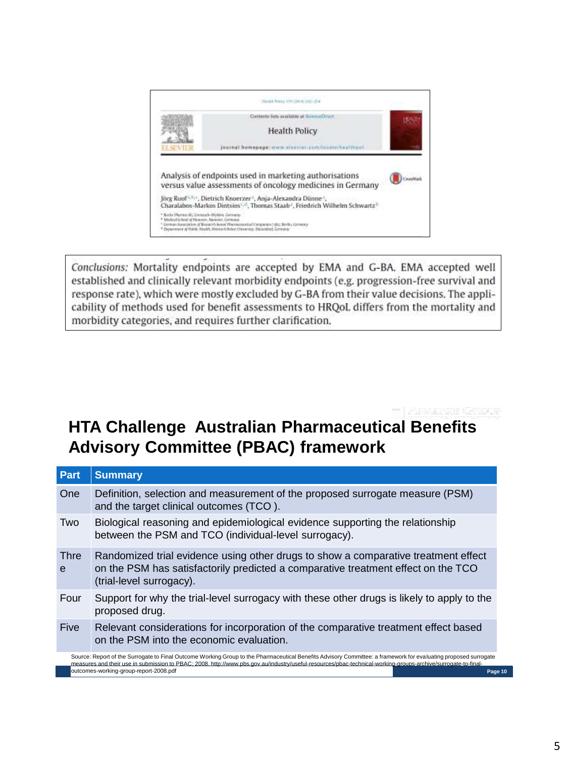

Conclusions: Mortality endpoints are accepted by EMA and G-BA. EMA accepted well established and clinically relevant morbidity endpoints (e.g. progression-free survival and response rate), which were mostly excluded by G-BA from their value decisions. The applicability of methods used for benefit assessments to HRQoL differs from the mortality and morbidity categories, and requires further clarification.

## **HTA Challenge Australian Pharmaceutical Benefits Advisory Committee (PBAC) framework**

| Part                                                                                                                                                                                                                                                                                                                                                                                  | <b>Summary</b>                                                                                                                                                                                      |
|---------------------------------------------------------------------------------------------------------------------------------------------------------------------------------------------------------------------------------------------------------------------------------------------------------------------------------------------------------------------------------------|-----------------------------------------------------------------------------------------------------------------------------------------------------------------------------------------------------|
| One                                                                                                                                                                                                                                                                                                                                                                                   | Definition, selection and measurement of the proposed surrogate measure (PSM)<br>and the target clinical outcomes (TCO).                                                                            |
| Two                                                                                                                                                                                                                                                                                                                                                                                   | Biological reasoning and epidemiological evidence supporting the relationship<br>between the PSM and TCO (individual-level surrogacy).                                                              |
| Thre<br>e                                                                                                                                                                                                                                                                                                                                                                             | Randomized trial evidence using other drugs to show a comparative treatment effect<br>on the PSM has satisfactorily predicted a comparative treatment effect on the TCO<br>(trial-level surrogacy). |
| Four                                                                                                                                                                                                                                                                                                                                                                                  | Support for why the trial-level surrogacy with these other drugs is likely to apply to the<br>proposed drug.                                                                                        |
| <b>Five</b>                                                                                                                                                                                                                                                                                                                                                                           | Relevant considerations for incorporation of the comparative treatment effect based<br>on the PSM into the economic evaluation.                                                                     |
| Source: Report of the Surrogate to Final Outcome Working Group to the Pharmaceutical Benefits Advisory Committee: a framework for evaluating proposed surrogate<br>measures and their use in submission to PBAC; 2008. http://www.pbs.gov.au/industry/useful-resources/pbac-technical-working-groups-archive/surrogate-to-final-<br>outcomes-working-group-report-2008.pdf<br>Page 10 |                                                                                                                                                                                                     |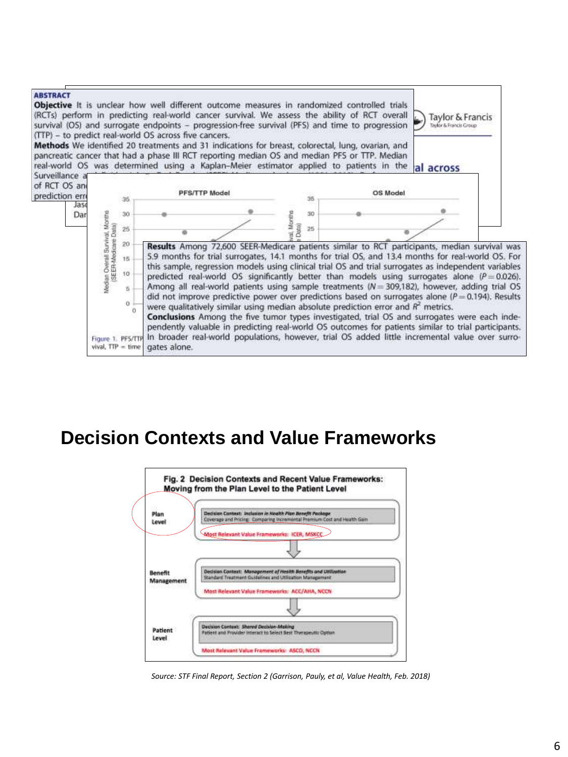

# **Decision Contexts and Value Frameworks**



*Source: STF Final Report, Section 2 (Garrison, Pauly, et al, Value Health, Feb. 2018)*